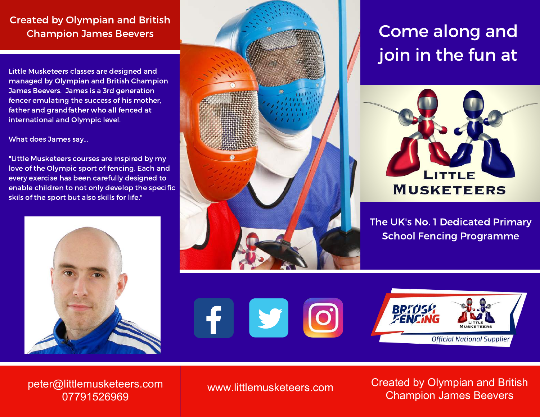## Created by Olympian and British Champion James Beevers

Little Musketeers classes are designed and managed by Olympian and British Champion James Beevers. James is a 3rd generation fencer emulating the success of his mother, father and grandfather who all fenced at international and Olympic level.

What does James say...

"Little Musketeers courses are inspired by my love of the Olympic sport of fencing. Each and every exercise has been carefully designed to enable children to not only develop the specific skils of the sport but also skills for life."





Come along and join in the fun at



The UK's No. 1 Dedicated Primary School Fencing Programme





peter@littlemusketeers.com 07791526969

www.littlemusketeers.com Created by Olympian and British Champion James Beevers